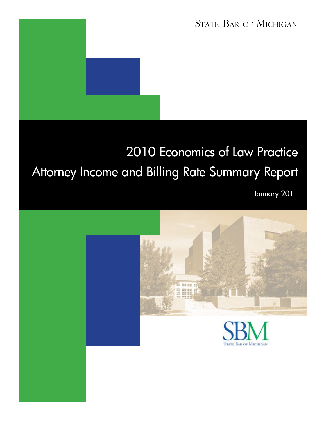## STATE BAR OF MICHIGAN

# 2010 Economics of Law Practice Attorney Income and Billing Rate Summary Report

January 2011

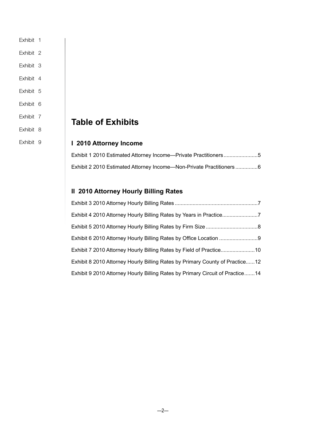- [Exhibit 1](#page-4-0)
- [Exhibit 2](#page-5-0)
- [Exhibit 3](#page-6-0)
- [Exhibit 4](#page-6-0)
- [Exhibit 5](#page-7-0)
- [Exhibit 6](#page-8-0)
- [Exhibit 7](#page-9-0)
- [Exhibit 8](#page-11-0)

[Exhibit 9](#page-13-0)

### **Table of Exhibits**

### **I 2010 Attorney Income**

| Exhibit 1 2010 Estimated Attorney Income—Private Practitioners5      |  |
|----------------------------------------------------------------------|--|
| Exhibit 2 2010 Estimated Attorney Income—Non-Private Practitioners 6 |  |

### **II 2010 Attorney Hourly Billing Rates**

| Exhibit 4 2010 Attorney Hourly Billing Rates by Years in Practice7            |  |
|-------------------------------------------------------------------------------|--|
|                                                                               |  |
|                                                                               |  |
| Exhibit 7 2010 Attorney Hourly Billing Rates by Field of Practice10           |  |
| Exhibit 8 2010 Attorney Hourly Billing Rates by Primary County of Practice12  |  |
| Exhibit 9 2010 Attorney Hourly Billing Rates by Primary Circuit of Practice14 |  |

 $-2-$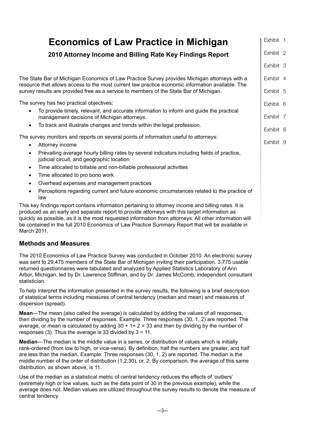| <b>Economics of Law Practice in Michigan</b>                                                                                                                                                                                                                                                                                                                                                                                        | Exhibit 1              |  |
|-------------------------------------------------------------------------------------------------------------------------------------------------------------------------------------------------------------------------------------------------------------------------------------------------------------------------------------------------------------------------------------------------------------------------------------|------------------------|--|
| 2010 Attorney Income and Billing Rate Key Findings Report                                                                                                                                                                                                                                                                                                                                                                           | Exhibit 2              |  |
|                                                                                                                                                                                                                                                                                                                                                                                                                                     | Exhibit 3              |  |
| The State Bar of Michigan Economics of Law Practice Survey provides Michigan attorneys with a<br>resource that allows access to the most current law practice economic information available. The<br>survey results are provided free as a service to members of the State Bar of Michigan.                                                                                                                                         | Exhibit 4<br>Exhibit 5 |  |
|                                                                                                                                                                                                                                                                                                                                                                                                                                     |                        |  |
| The survey has two practical objectives:                                                                                                                                                                                                                                                                                                                                                                                            | Exhibit 6              |  |
| To provide timely, relevant, and accurate information to inform and guide the practical<br>management decisions of Michigan attorneys.                                                                                                                                                                                                                                                                                              | Exhibit 7              |  |
| To track and illustrate changes and trends within the legal profession.                                                                                                                                                                                                                                                                                                                                                             | Exhibit 8              |  |
| The survey monitors and reports on several points of information useful to attorneys:<br>Attorney income<br>$\bullet$                                                                                                                                                                                                                                                                                                               | Exhibit 9              |  |
| Prevailing average hourly billing rates by several indicators including fields of practice,<br>$\bullet$<br>judicial circuit, and geographic location                                                                                                                                                                                                                                                                               |                        |  |
| Time allocated to billable and non-billable professional activities<br>$\bullet$                                                                                                                                                                                                                                                                                                                                                    |                        |  |
| Time allocated to pro bono work<br>$\bullet$                                                                                                                                                                                                                                                                                                                                                                                        |                        |  |
| Overhead expenses and management practices<br>$\bullet$                                                                                                                                                                                                                                                                                                                                                                             |                        |  |
| Perceptions regarding current and future economic circumstances related to the practice of<br>law                                                                                                                                                                                                                                                                                                                                   |                        |  |
| This key findings report contains information pertaining to attorney income and billing rates. It is<br>produced as an early and separate report to provide attorneys with this target information as<br>quickly as possible, as it is the most requested information from attorneys. All other information will<br>be contained in the full 2010 Economics of Law Practice Summary Report that will be available in<br>March 2011. |                        |  |

### **Methods and Measures**

The 2010 Economics of Law Practice Survey was conducted in October 2010. An electronic survey was sent to 29,475 members of the State Bar of Michigan inviting their participation. 3,775 usable returned questionnaires were tabulated and analyzed by Applied Statistics Laboratory of Ann Arbor, Michigan, led by Dr. Lawrence Stiffman, and by Dr. James McComb, independent consultant statistician.

To help interpret the information presented in the survey results, the following is a brief description of statistical terms including measures of central tendency (median and mean) and measures of dispersion (spread).

**Mean**—The mean (also called the average) is calculated by adding the values of all responses, then dividing by the number of responses. Example: Three responses (30, 1, 2) are reported. The average, or mean is calculated by adding  $30 + 1 + 2 = 33$  and then by dividing by the number of responses (3). Thus the average is 33 divided by  $3 = 11$ .

**Median**—The median is the middle value in a series, or distribution of values which is initially rank-ordered (from low to high, or vice-versa). By definition, half the numbers are greater, and half are less than the median. Example: Three responses (30, 1, 2) are reported. The median is the middle number of the order of distribution (1,2,30), or, 2. By comparison, the average of this same distribution, as shown above, is 11.

Use of the median as a statistical metric of central tendency reduces the effects of 'outliers' (extremely high or low values, such as the data point of 30 in the previous example), while the average does not. Median values are utilized throughout the survey results to denote the measure of central tendency.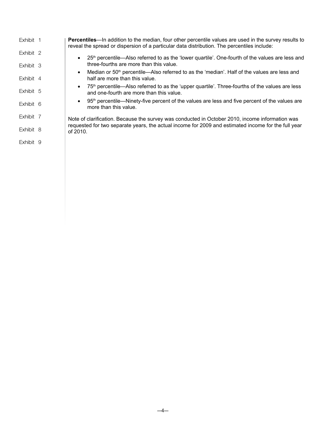| Exhibit 1 | <b>Percentiles—</b> In addition to the median, four other percentile values are used in the survey results to<br>reveal the spread or dispersion of a particular data distribution. The percentiles include: |
|-----------|--------------------------------------------------------------------------------------------------------------------------------------------------------------------------------------------------------------|
| Exhibit 2 | 25 <sup>th</sup> percentile—Also referred to as the 'lower quartile'. One-fourth of the values are less and                                                                                                  |
| Exhibit 3 | three-fourths are more than this value.                                                                                                                                                                      |
| Exhibit 4 | Median or 50 <sup>th</sup> percentile—Also referred to as the 'median'. Half of the values are less and<br>$\bullet$<br>half are more than this value.                                                       |
| Exhibit 5 | 75 <sup>th</sup> percentile—Also referred to as the 'upper quartile'. Three-fourths of the values are less<br>$\bullet$<br>and one-fourth are more than this value.                                          |
| Exhibit 6 | 95 <sup>th</sup> percentile—Ninety-five percent of the values are less and five percent of the values are<br>$\bullet$<br>more than this value.                                                              |
| Exhibit 7 | Note of clarification. Because the survey was conducted in October 2010, income information was                                                                                                              |
| Exhibit 8 | requested for two separate years, the actual income for 2009 and estimated income for the full year<br>of 2010.                                                                                              |
| Exhibit 9 |                                                                                                                                                                                                              |
|           |                                                                                                                                                                                                              |

—4—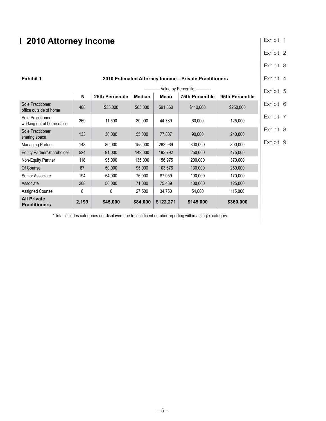### <span id="page-4-0"></span>**I 2010 Attorney Income**

| Exhibit |  |
|---------|--|
|---------|--|

[Exhibit 2](#page-5-0)

[Exhibit 3](#page-6-0)

#### [Exhibit 4](#page-6-0) [Exhibit 6](#page-8-0) **Exhibit 1 2010 Estimated Attorney Income—Private Practitioners** Value by Percentile - **N** 25th Percentile Median Mean 75th Percentile 95th Percentile Sole Practitioner, Sole Practure of home 488 \$35,000 \$65,000 \$91,860 \$110,000 \$250,000 \$250,000 Sole Practitioner, Sole Practurioner,<br>working out of home office  $\begin{vmatrix} 269 & 11,500 & 30,000 & 44,789 \end{vmatrix}$  60,000 125,000 Sole Practitioner sharing space 133 133 30,000 55,000 77,807 90,000 240,000 Managing Partner | 148 | 80,000 | 155,000 | 263,969 | 300,000 | 800,000 Equity Partner/Shareholder 524 91,000 149,000 193,792 250,000 475,000 Non-Equity Partner | 118 | 95,000 | 135,000 | 156,975 | 200,000 | 370,000 Of Counsel | 87 50,000 | 95,000 103,676 | 130,000 250,000 Senior Associate 194 54,000 76,000 87,059 100,000 170,000 Associate 208 50,000 71,000 75,439 100,000 125,000 Assigned Counsel 8 0 27,500 34,750 54,000 115,000 **All Private Practitioners 2,199 \$45,000 \$84,000 \$122,271 \$145,000 \$360,000**

[Exhibit 5](#page-7-0)

[Exhibit 7](#page-9-0)

[Exhibit 8](#page-11-0)

[Exhibit 9](#page-13-0)

\* Total includes categories not displayed due to insufficent number reporting within a single category.

 $-5-$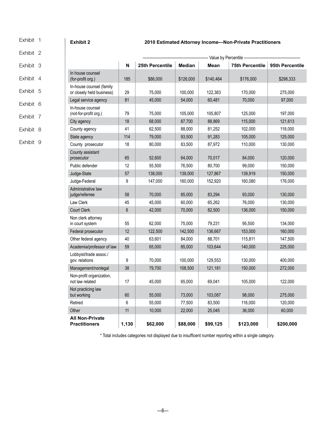<span id="page-5-0"></span>[Exhibit 1](#page-4-0) 

#### **Exhibit 2 2010 Estimated Attorney Income—Non-Private Practitioners**

#### Exhibit 2 [Exhibit 3](#page-6-0) [Exhibit 4](#page-6-0) [Exhibit 5](#page-7-0) [Exhibit 6](#page-8-0) [Exhibit 7](#page-9-0) [Exhibit 8](#page-11-0) [Exhibit 9](#page-13-0) Value by Percentile  **N 25th Percentile Median Mean 75th Percentile 95th Percentile**  In house counsel (for-profit org.) 185  $\begin{array}{|c|c|c|c|c|c|c|c|c|} \hline \text{ $66,000} & \text{ $126,000} & \text{ $140,464} & \text{ $176,000} & \text{ $298,333} \ \hline \end{array}$ In-house counsel (family or closely held business) 29 75,000 100,000 122,383 170,000 275,000 Legal service agency 81 45,000 54,000 60,481 70,000 97,000 In-house counsel (not-for-profit org.) 79 75,000 105,000 105,807 125,000 197,000 City agency | 18 | 68,000 | 87,700 | 88,869 | 115,000 | 121,613 County agency 41 62,500 88,000 81,252 102,000 118,000 State agency | 114 | 79,000 | 93,500 | 91,283 | 105,000 | 125,000 County prosecutor | 18 | 80,000 | 83,500 | 87,972 | 110,000 | 130,000 County assistant prosecutor 65 52,600 64,000 70,017 84,000 120,000 Public defender | 12 | 55,500 | 76,500 | 80,700 | 99,000 | 150,000 Judge-State 57 138,000 139,000 127,867 139,919 150,000 Judge-Federal 9 147,000 160,000 152,920 160,080 176,000 Administrative law judge/referree 58 70,000 85,000 83,294 93,000 130,000 Law Clerk 45 45,000 60,000 65,262 76,000 130,000 Court Clerk | 6 | 42,000 | 70,000 | 82,500 | 136,000 | 150,000 Non clerk attorney in court system 55 62,000 75,000 79,231 95,500 134,000 Federal prosecutor | 12 | 122,500 | 142,500 | 136,667 | 153,000 | 160,000 Other federal agency  $\begin{array}{|c|c|c|c|c|c|c|c|c|} \hline \end{array}$  40 63,601 88,000 88,701 115,811 147,500 Academia/professor of law | 59 | 65,000 | 85,000 | 103,644 | 140,000 | 225,000 Lobbyist/trade assoc./<br>gov. relations gov. relations | 9 | 70,000 | 100,000 | 129,553 | 130,000 | 400,000 Management/nonlegal 38 79,700 108,500 121,181 150,000 272,000 Non-profit organization,<br>not law related not law related | 17 | 45,000 | 65,000 | 69,041 | 105,000 | 122,000 Not practicing law<br>but working but working 60 55,000 73,000 103,087 98,000 275,000 Retired | 6 | 55,000 | 77,500 | 83,500 | 116,000 | 120,000 Other | 11 | 10,000 | 22,000 | 25,045 | 36,000 | 60,000 **All Non-Private Practitioners 1,130 \$62,000 \$88,000 \$99,125 \$123,000 \$200,000**

\* Total includes categories not displayed due to insufficent number reporting within a single category.

—6—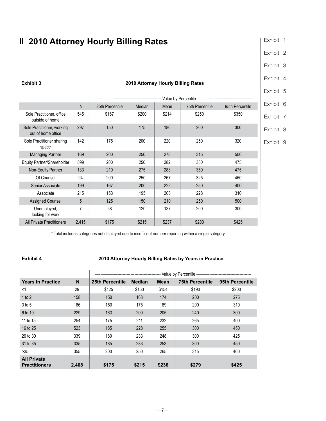### <span id="page-6-0"></span>**II 2010 Attorney Hourly Billing Rates**

| Exhibit |  |
|---------|--|
|---------|--|

[Exhibit 2](#page-5-0)

Exhibit 3

Exhibit 4

chibit 5

|                                                  |       |                 |        |       |                 |                 | Exhibit 5 |  |
|--------------------------------------------------|-------|-----------------|--------|-------|-----------------|-----------------|-----------|--|
|                                                  |       |                 |        |       |                 |                 |           |  |
|                                                  | N     | 25th Percentile | Median | Mean  | 75th Percentile | 95th Percentile | Exhibit 6 |  |
| Sole Practitioner, office<br>outside of home     | 545   | \$167           | \$200  | \$214 | \$250           | \$350           | Exhibit 7 |  |
| Sole Practitioner, working<br>out of home office | 297   | 150             | 175    | 180   | 200             | 300             | Exhibit 8 |  |
| Sole Practitioner sharing<br>space               | 142   | 175             | 200    | 220   | 250             | 320             | Exhibit 9 |  |
| <b>Managing Partner</b>                          | 169   | 200             | 250    | 278   | 315             | 500             |           |  |
| Equity Partner/Shareholder                       | 599   | 200             | 250    | 282   | 350             | 475             |           |  |
| Non-Equity Partner                               | 133   | 210             | 275    | 283   | 350             | 475             |           |  |
| Of Counsel                                       | 94    | 200             | 250    | 267   | 325             | 460             |           |  |
| Senior Associate                                 | 199   | 167             | 200    | 222   | 250             | 400             |           |  |
| Associate                                        | 215   | 153             | 195    | 203   | 228             | 310             |           |  |
| <b>Assigned Counsel</b>                          | 5     | 125             | 150    | 210   | 250             | 500             |           |  |
| Unemployed,<br>looking for work                  | 7     | 58              | 120    | 137   | 200             | 300             |           |  |
| All Private Practitioners                        | 2,415 | \$175           | \$215  | \$237 | \$280           | \$425           |           |  |

\* Total includes categories not displayed due to insufficent number reporting within a single category.

#### **Exhibit 4 2010 Attorney Hourly Billing Rates by Years in Practice**

|                                            |       |                 | Value by Percentile ----------------------------- |             |                        |                 |  |  |  |
|--------------------------------------------|-------|-----------------|---------------------------------------------------|-------------|------------------------|-----------------|--|--|--|
| <b>Years in Practice</b>                   | N     | 25th Percentile | <b>Median</b>                                     | <b>Mean</b> | <b>75th Percentile</b> | 95th Percentile |  |  |  |
| $<$ 1                                      | 29    | \$125           | \$150                                             | \$154       | \$190                  | \$200           |  |  |  |
| 1 to 2                                     | 158   | 150             | 163                                               | 174         | 200                    | 275             |  |  |  |
| 3 to 5                                     | 186   | 150             | 175                                               | 189         | 200                    | 310             |  |  |  |
| 6 to 10                                    | 229   | 163             | 200                                               | 205         | 240                    | 300             |  |  |  |
| 11 to 15                                   | 254   | 175             | 211                                               | 232         | 265                    | 400             |  |  |  |
| 16 to 25                                   | 523   | 185             | 228                                               | 255         | 300                    | 450             |  |  |  |
| 26 to 30                                   | 339   | 180             | 233                                               | 248         | 300                    | 425             |  |  |  |
| 31 to 35                                   | 335   | 185             | 233                                               | 253         | 300                    | 450             |  |  |  |
| $>35$                                      | 355   | 200             | 250                                               | 265         | 315                    | 460             |  |  |  |
| <b>All Private</b><br><b>Practitioners</b> | 2,408 | \$175           | \$215                                             | \$236       | \$279                  | \$425           |  |  |  |

### **Exhibit 3 2010 Attorney Hourly Billing Rates**

### $-7-$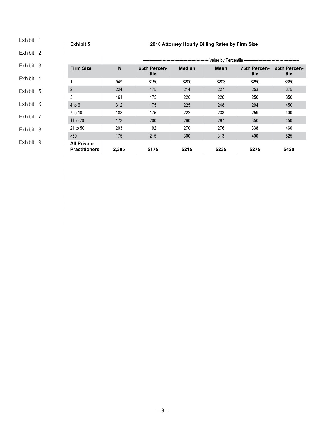<span id="page-7-0"></span>[Exhibit 1](#page-4-0)  [Exhibit 2](#page-5-0) [Exhibit 3](#page-6-0) [Exhibit 4](#page-6-0) Exhibit 5 [Exhibit 6](#page-8-0) [Exhibit 7](#page-9-0) [Exhibit 8](#page-11-0) [Exhibit 9](#page-13-0) **Exhibit 5 2010 Attorney Hourly Billing Rates by Firm Size** -------------------------- Value by Percentile ———--------------------------------**Firm Size N 25th Percentile Median Mean 75th Percentile 95th Percentile**  1 949 \$150 \$200 \$203 \$250 \$350 2 224 175 214 227 253 375 3 161 175 220 226 250 350 4 to 6 | 312 | 175 | 225 | 248 | 294 | 450 7 to 10 | 188 | 175 | 222 | 233 | 259 | 400 11 to 20 | 173 | 200 | 260 | 287 | 350 | 450 21 to 50 | 203 | 192 | 270 | 276 | 338 | 460 >50 175 215 300 313 400 525 **All Private Practitioners 2,385 \$175 \$215 \$235 \$275 \$420**

—8—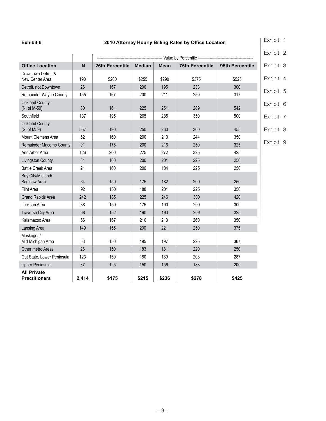### <span id="page-8-0"></span>**Exhibit 6 2010 Attorney Hourly Billing Rates by Office Location**

[Exhibit 1](#page-4-0) 

|                                            |       |                 |               |             |                                                    |                 | Exhibit 2 |
|--------------------------------------------|-------|-----------------|---------------|-------------|----------------------------------------------------|-----------------|-----------|
|                                            |       |                 |               |             | ------------------------------ Value by Percentile |                 |           |
| <b>Office Location</b>                     | N     | 25th Percentile | <b>Median</b> | <b>Mean</b> | <b>75th Percentile</b>                             | 95th Percentile | Exhibit 3 |
| Downtown Detroit &<br>New Center Area      | 190   | \$200           | \$255         | \$290       | \$375                                              | \$525           | Exhibit 4 |
| Detroit, not Downtown                      | 26    | 167             | 200           | 195         | 233                                                | 300             |           |
| Remainder Wayne County                     | 155   | 167             | 200           | 211         | 250                                                | 317             | Exhibit 5 |
| <b>Oakland County</b><br>(N. of M-59)      | 80    | 161             | 225           | 251         | 289                                                | 542             | Exhibit 6 |
| Southfield                                 | 137   | 195             | 265           | 285         | 350                                                | 500             | Exhibit 7 |
| Oakland County<br>(S. of M59)              | 557   | 190             | 250           | 260         | 300                                                | 455             | Exhibit 8 |
| Mount Clemens Area                         | 52    | 160             | 200           | 210         | 244                                                | 350             |           |
| <b>Remainder Macomb County</b>             | 91    | 175             | 200           | 216         | 250                                                | 325             | Exhibit 9 |
| Ann Arbor Area                             | 126   | 200             | 275           | 272         | 325                                                | 425             |           |
| Livingston County                          | 31    | 160             | 200           | 201         | 225                                                | 250             |           |
| <b>Battle Creek Area</b>                   | 21    | 160             | 200           | 184         | 225                                                | 250             |           |
| Bay City/Midland/<br>Saginaw Area          | 64    | 150             | 175           | 182         | 200                                                | 250             |           |
| <b>Flint Area</b>                          | 92    | 150             | 188           | 201         | 225                                                | 350             |           |
| <b>Grand Rapids Area</b>                   | 242   | 185             | 225           | 246         | 300                                                | 420             |           |
| Jackson Area                               | 38    | 150             | 175           | 190         | 200                                                | 300             |           |
| <b>Traverse City Area</b>                  | 68    | 152             | 190           | 193         | 209                                                | 325             |           |
| Kalamazoo Area                             | 56    | 167             | 210           | 213         | 260                                                | 350             |           |
| Lansing Area                               | 149   | 155             | 200           | 221         | 250                                                | 375             |           |
| Muskegon/<br>Mid-Michigan Area             | 53    | 150             | 195           | 197         | 225                                                | 367             |           |
| Other metro Areas                          | 26    | 150             | 183           | 181         | 220                                                | 250             |           |
| Out State, Lower Peninsula                 | 123   | 150             | 180           | 189         | 208                                                | 287             |           |
| <b>Upper Peninsula</b>                     | 37    | 125             | 150           | 156         | 183                                                | 200             |           |
| <b>All Private</b><br><b>Practitioners</b> | 2,414 | \$175           | \$215         | \$236       | \$278                                              | \$425           |           |

—9—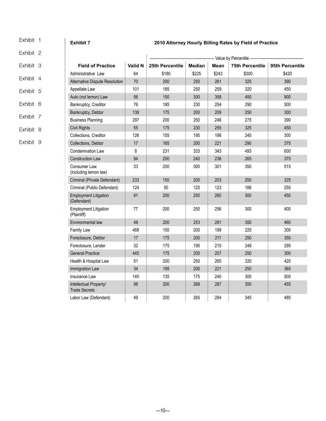<span id="page-9-0"></span>

| Exhibit 1 | <b>Exhibit 7</b><br>2010 Attorney Hourly Billing Rates by Field of Practice |                |                 |               |       |                          |                 |  |  |  |  |
|-----------|-----------------------------------------------------------------------------|----------------|-----------------|---------------|-------|--------------------------|-----------------|--|--|--|--|
| Exhibit 2 |                                                                             |                |                 |               |       | -- Value by Percentile - |                 |  |  |  |  |
| Exhibit 3 | <b>Field of Practice</b>                                                    | <b>Valid N</b> | 25th Percentile | <b>Median</b> | Mean  | <b>75th Percentile</b>   | 95th Percentile |  |  |  |  |
|           | Administrative Law                                                          | 64             | \$180           | \$225         | \$243 | \$300                    | \$420           |  |  |  |  |
| Exhibit 4 | Alternative Dispute Resolution                                              | 70             | 200             | 250           | 261   | 325                      | 390             |  |  |  |  |
| Exhibit 5 | Appellate Law                                                               | 101            | 185             | 250           | 259   | 320                      | 450             |  |  |  |  |
|           | Auto (not lemon) Law                                                        | 56             | 150             | 300           | 358   | 450                      | 900             |  |  |  |  |
| Exhibit 6 | Bankruptcy, Creditor                                                        | 76             | 185             | 230           | 254   | 290                      | 500             |  |  |  |  |
|           | Bankruptcy, Debtor                                                          | 136            | 175             | 200           | 209   | 250                      | 300             |  |  |  |  |
| Exhibit 7 | <b>Business Planning</b>                                                    | 297            | 200             | 250           | 246   | 275                      | 390             |  |  |  |  |
| Exhibit 8 | <b>Civil Rights</b>                                                         | 55             | 175             | 230           | 255   | 325                      | 450             |  |  |  |  |
|           | Collections, Creditor                                                       | 126            | 155             | 195           | 198   | 245                      | 300             |  |  |  |  |
| Exhibit 9 | Collections, Debtor                                                         | 17             | 165             | 200           | 221   | 290                      | 375             |  |  |  |  |
|           | <b>Condemnation Law</b>                                                     | 8              | 231             | 333           | 343   | 493                      | 600             |  |  |  |  |
|           | <b>Construction Law</b>                                                     | 94             | 200             | 240           | 236   | 265                      | 375             |  |  |  |  |
|           | Consumer Law<br>(including lemon law)                                       | 33             | 200             | 300           | 301   | 350                      | 515             |  |  |  |  |
|           | Criminal (Private Defendant)                                                | 233            | 150             | 200           | 203   | 250                      | 325             |  |  |  |  |
|           | Criminal (Public Defendant)                                                 | 124            | 50              | 125           | 123   | 188                      | 250             |  |  |  |  |
|           | <b>Employment Litigation</b><br>(Defendant)                                 | 91             | 200             | 250           | 260   | 300                      | 450             |  |  |  |  |
|           | <b>Employment Litigation</b><br>(Plaintiff)                                 | $77\,$         | 200             | 250           | 256   | 300                      | 400             |  |  |  |  |
|           | Environmental law                                                           | 48             | 200             | 253           | 281   | 350                      | 460             |  |  |  |  |
|           | Family Law                                                                  | 468            | 150             | 200           | 199   | 225                      | 300             |  |  |  |  |
|           | Foreclosure, Debtor                                                         | 17             | 175             | 200           | 211   | 250                      | 350             |  |  |  |  |
|           | Foreclosure, Lender                                                         | 32             | 175             | 195           | 210   | 248                      | 295             |  |  |  |  |
|           | <b>General Practice</b>                                                     | 445            | 175             | 200           | 207   | 250                      | 300             |  |  |  |  |
|           | Health & Hospital Law                                                       | 51             | 200             | 250           | 265   | 320                      | 420             |  |  |  |  |
|           | Immigration Law                                                             | 34             | 195             | 200           | 221   | 250                      | 365             |  |  |  |  |
|           | Insurance Law                                                               | 145            | 135             | 175           | 240   | 300                      | 500             |  |  |  |  |
|           | Intellectual Property/<br><b>Trade Secrets</b>                              | 98             | 200             | 268           | 287   | 350                      | 455             |  |  |  |  |
|           | Labor Law (Defendant)                                                       | 49             | 200             | 265           | 284   | 345                      | 485             |  |  |  |  |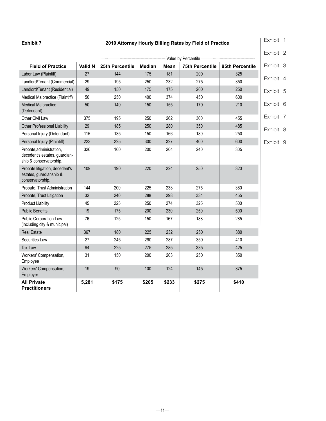### **Exhibit 7 2010 Attorney Hourly Billing Rates by Field of Practice**

[Exhibit 1](#page-4-0) 

|                                                                                     |         |                 |        |       |                         |                 | Exhibit 2 |  |
|-------------------------------------------------------------------------------------|---------|-----------------|--------|-------|-------------------------|-----------------|-----------|--|
|                                                                                     |         |                 |        |       | --- Value by Percentile |                 |           |  |
| <b>Field of Practice</b>                                                            | Valid N | 25th Percentile | Median | Mean  | <b>75th Percentile</b>  | 95th Percentile | Exhibit 3 |  |
| Labor Law (Plaintiff)                                                               | 27      | 144             | 175    | 181   | 200                     | 325             | Exhibit 4 |  |
| Landlord/Tenant (Commercial)                                                        | 29      | 195             | 250    | 232   | 275                     | 350             |           |  |
| Landlord/Tenant (Residential)                                                       | 49      | 150             | 175    | 175   | 200                     | 250             | Exhibit 5 |  |
| Medical Malpractice (Plaintiff)                                                     | 50      | 250             | 400    | 374   | 450                     | 600             |           |  |
| <b>Medical Malpractice</b><br>(Defendant)                                           | 50      | 140             | 150    | 155   | 170                     | 210             | Exhibit 6 |  |
| Other Civil Law                                                                     | 375     | 195             | 250    | 262   | 300                     | 455             | Exhibit 7 |  |
| <b>Other Professional Liability</b>                                                 | 29      | 185             | 250    | 280   | 350                     | 485             | Exhibit 8 |  |
| Personal Injury (Defendant)                                                         | 115     | 135             | 150    | 166   | 180                     | 250             |           |  |
| Personal Injury (Plaintiff)                                                         | 223     | 225             | 300    | 327   | 400                     | 600             | Exhibit 9 |  |
| Probate.administration.<br>decedent's estates, guardian-<br>ship & conservatorship. | 326     | 160             | 200    | 204   | 240                     | 305             |           |  |
| Probate litigation, decedent's<br>estates, guardianship &<br>conservatorship.       | 109     | 190             | 220    | 224   | 250                     | 320             |           |  |
| Probate, Trust Administration                                                       | 144     | 200             | 225    | 238   | 275                     | 380             |           |  |
| Probate, Trust Litigation                                                           | 32      | 240             | 288    | 298   | 334                     | 455             |           |  |
| <b>Product Liability</b>                                                            | 45      | 225             | 250    | 274   | 325                     | 500             |           |  |
| <b>Public Benefits</b>                                                              | 19      | 175             | 200    | 230   | 250                     | 500             |           |  |
| Public Corporation Law<br>(including city & municipal)                              | 76      | 125             | 150    | 167   | 188                     | 285             |           |  |
| <b>Real Estate</b>                                                                  | 367     | 180             | 225    | 232   | 250                     | 380             |           |  |
| Securities Law                                                                      | 27      | 245             | 290    | 287   | 350                     | 410             |           |  |
| Tax Law                                                                             | 94      | 225             | 275    | 285   | 335                     | 425             |           |  |
| Workers' Compensation,<br>Employee                                                  | 31      | 150             | 200    | 203   | 250                     | 350             |           |  |
| Workers' Compensation,<br>Employer                                                  | 19      | 90              | 100    | 124   | 145                     | 375             |           |  |
| <b>All Private</b><br><b>Practitioners</b>                                          | 5,281   | \$175           | \$205  | \$233 | \$275                   | \$410           |           |  |

 $-11-$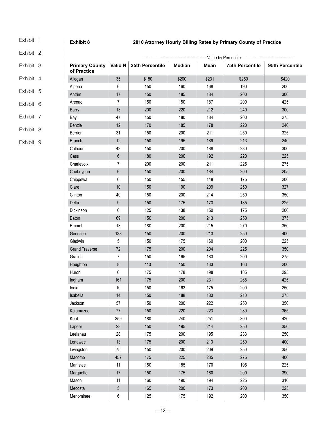### **Exhibit 8 2010 Attorney Hourly Billing Rates by Primary County of Practice**

[Exhibit 2](#page-5-0)

<span id="page-11-0"></span>[Exhibit 1](#page-4-0) 

- [Exhibit 3](#page-6-0)
- [Exhibit 4](#page-6-0)
- [Exhibit 5](#page-7-0)
- [Exhibit 6](#page-8-0)
- 
- [Exhibit 7](#page-9-0)
- Exhibit 8
- [Exhibit 9](#page-13-0)

|                                      |                | ------------- Value by Percentile ----------- |               |       |                        |                 |  |  |
|--------------------------------------|----------------|-----------------------------------------------|---------------|-------|------------------------|-----------------|--|--|
| <b>Primary County</b><br>of Practice | Valid N        | 25th Percentile                               | <b>Median</b> | Mean  | <b>75th Percentile</b> | 95th Percentile |  |  |
| Allegan                              | 35             | \$180                                         | \$200         | \$231 | \$250                  | \$420           |  |  |
| Alpena                               | 6              | 150                                           | 160           | 168   | 190                    | 200             |  |  |
| Antrim                               | 17             | 150                                           | 185           | 184   | 200                    | 300             |  |  |
| Arenac                               | $\overline{7}$ | 150                                           | 150           | 187   | 200                    | 425             |  |  |
| <b>Barry</b>                         | 13             | 200                                           | 220           | 212   | 240                    | 300             |  |  |
| Bay                                  | 47             | 150                                           | 180           | 184   | 200                    | 275             |  |  |
| Benzie                               | 12             | 170                                           | 185           | 178   | 220                    | 240             |  |  |
| Berrien                              | 31             | 150                                           | 200           | 211   | 250                    | 325             |  |  |
| <b>Branch</b>                        | 12             | 150                                           | 195           | 189   | 213                    | 240             |  |  |
| Calhoun                              | 43             | 150                                           | 200           | 188   | 230                    | 300             |  |  |
| Cass                                 | 6              | 180                                           | 200           | 192   | 220                    | 225             |  |  |
| Charlevoix                           | $\overline{7}$ | 200                                           | 200           | 211   | 225                    | 275             |  |  |
| Cheboygan                            | 6              | 150                                           | 200           | 184   | 200                    | 205             |  |  |
| Chippewa                             | 6              | 150                                           | 155           | 148   | 175                    | 200             |  |  |
| Clare                                | 10             | 150                                           | 190           | 209   | 250                    | 327             |  |  |
| Clinton                              | 40             | 150                                           | 200           | 214   | 250                    | 350             |  |  |
| Delta                                | 9              | 150                                           | 175           | 173   | 185                    | 225             |  |  |
| Dickinson                            | 6              | 125                                           | 138           | 150   | 175                    | 200             |  |  |
| Eaton                                | 69             | 150                                           | 200           | 213   | 250                    | 375             |  |  |
| Emmet                                | 13             | 180                                           | 200           | 215   | 270                    | 350             |  |  |
| Genesee                              | 138            | 150                                           | 200           | 213   | 250                    | 400             |  |  |
| Gladwin                              | 5              | 150                                           | 175           | 160   | 200                    | 225             |  |  |
| <b>Grand Traverse</b>                | 72             | 175                                           | 200           | 204   | 225                    | 350             |  |  |
| Gratiot                              | 7              | 150                                           | 165           | 183   | 200                    | 275             |  |  |
| Houghton                             | 8              | 110                                           | 150           | 133   | 163                    | 200             |  |  |
| Huron                                | 6              | 175                                           | 178           | 198   | 185                    | 295             |  |  |
| Ingham                               | 161            | 175                                           | 200           | 231   | 265                    | 425             |  |  |
| Ionia                                | 10             | 150                                           | 163           | 175   | 200                    | 250             |  |  |
| Isabella                             | 14             | 150                                           | 188           | 180   | 210                    | 275             |  |  |
| Jackson                              | 57             | 150                                           | 200           | 222   | 250                    | 350             |  |  |
| Kalamazoo                            | $77\,$         | 150                                           | 220           | 223   | 280                    | 365             |  |  |
| Kent                                 | 259            | 180                                           | 240           | 251   | 300                    | 420             |  |  |
| Lapeer                               | 23             | 150                                           | 195           | 214   | 250                    | 350             |  |  |
| Leelanau                             | 28             | 175                                           | 200           | 195   | 233                    | 250             |  |  |
| Lenawee                              | 13             | 175                                           | 200           | 213   | 250                    | 400             |  |  |
| Livingston                           | 75             | 150                                           | 200           | 209   | 250                    | 350             |  |  |
| Macomb                               | 457            | 175                                           | 225           | 235   | 275                    | 400             |  |  |
| Manistee                             | 11             | 150                                           | 185           | 170   | 195                    | 225             |  |  |
| Marquette                            | 17             | 150                                           | 175           | 180   | 200                    | 390             |  |  |
| Mason                                | 11             | 160                                           | 190           | 194   | 225                    | 310             |  |  |
| Mecosta                              | 5              | 165                                           | 200           | 173   | 200                    | 225             |  |  |
| Menominee                            | 6              | 125                                           | 175           | 192   | 200                    | 350             |  |  |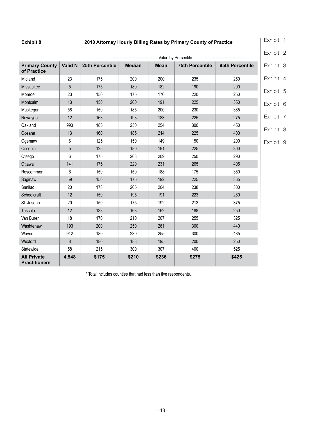### **Exhibit 8 2010 Attorney Hourly Billing Rates by Primary County of Practice**

| Exhibit |  |
|---------|--|
|---------|--|

| -------------------------------- Value by Percentile -------------------------------- |         |                 |               |             |                        |                 |
|---------------------------------------------------------------------------------------|---------|-----------------|---------------|-------------|------------------------|-----------------|
| <b>Primary County</b><br>of Practice                                                  | Valid N | 25th Percentile | <b>Median</b> | <b>Mean</b> | <b>75th Percentile</b> | 95th Percentile |
| Midland                                                                               | 23      | 175             | 200           | 200         | 235                    | 250             |
| Missaukee                                                                             | 5       | 175             | 180           | 182         | 190                    | 200             |
| Monroe                                                                                | 23      | 150             | 175           | 176         | 220                    | 250             |
| Montcalm                                                                              | 13      | 150             | 200           | 191         | 225                    | 350             |
| Muskegon                                                                              | 58      | 150             | 185           | 200         | 230                    | 385             |
| Newaygo                                                                               | 12      | 163             | 193           | 183         | 225                    | 275             |
| Oakland                                                                               | 993     | 185             | 250           | 254         | 300                    | 450             |
| Oceana                                                                                | 13      | 160             | 185           | 214         | 225                    | 400             |
| Ogemaw                                                                                | 6       | 125             | 150           | 149         | 150                    | 200             |
| Osceola                                                                               | 5       | 125             | 180           | 191         | 225                    | 300             |
| Otsego                                                                                | 6       | 175             | 208           | 209         | 250                    | 290             |
| Ottawa                                                                                | 141     | 175             | 220           | 231         | 265                    | 405             |
| Roscommon                                                                             | 6       | 150             | 150           | 188         | 175                    | 350             |
| Saginaw                                                                               | 59      | 150             | 175           | 192         | 225                    | 365             |
| Sanilac                                                                               | 20      | 178             | 205           | 204         | 238                    | 300             |
| Schoolcraft                                                                           | 12      | 150             | 195           | 191         | 223                    | 280             |
| St. Joseph                                                                            | 20      | 150             | 175           | 192         | 213                    | 375             |
| Tuscola                                                                               | 12      | 138             | 168           | 162         | 188                    | 250             |
| Van Buren                                                                             | 18      | 170             | 210           | 207         | 255                    | 325             |
| Washtenaw                                                                             | 193     | 200             | 250           | 261         | 300                    | 440             |
| Wayne                                                                                 | 942     | 180             | 230           | 255         | 300                    | 485             |
| Wexford                                                                               | 8       | 180             | 188           | 195         | 200                    | 250             |
| Statewide                                                                             | 58      | 215             | 300           | 307         | 400                    | 525             |
| <b>All Private</b><br><b>Practitioners</b>                                            | 4,548   | \$175           | \$210         | \$236       | \$275                  | \$425           |

\* Total includes counties that had less than five respondents.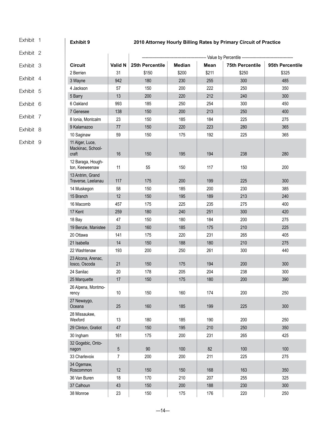<span id="page-13-0"></span>[Exhibit 1](#page-4-0) 

### **Exhibit 9 2010 Attorney Hourly Billing Rates by Primary Circuit of Practice**

[Exhibit 2](#page-5-0)

- [Exhibit 3](#page-6-0)
- [Exhibit 4](#page-6-0)
- [Exhibit 5](#page-7-0)
- 
- [Exhibit 6](#page-8-0)
- [Exhibit 7](#page-9-0)
- [Exhibit 8](#page-11-0)
- 
- Exhibit 9

|                                               |                |                 |               | ------------------ Value by Percentile - |                        |                 |
|-----------------------------------------------|----------------|-----------------|---------------|------------------------------------------|------------------------|-----------------|
| <b>Circuit</b>                                | <b>Valid N</b> | 25th Percentile | <b>Median</b> | <b>Mean</b>                              | <b>75th Percentile</b> | 95th Percentile |
| 2 Berrien                                     | 31             | \$150           | \$200         | \$211                                    | \$250                  | \$325           |
| 3 Wayne                                       | 942            | 180             | 230           | 255                                      | 300                    | 485             |
| 4 Jackson                                     | 57             | 150             | 200           | 222                                      | 250                    | 350             |
| 5 Barry                                       | 13             | 200             | 220           | 212                                      | 240                    | 300             |
| 6 Oakland                                     | 993            | 185             | 250           | 254                                      | 300                    | 450             |
| 7 Genesee                                     | 138            | 150             | 200           | 213                                      | 250                    | 400             |
| 8 Ionia, Montcalm                             | 23             | 150             | 185           | 184                                      | 225                    | 275             |
| 9 Kalamazoo                                   | 77             | 150             | 220           | 223                                      | 280                    | 365             |
| 10 Saginaw                                    | 59             | 150             | 175           | 192                                      | 225                    | 365             |
| 11 Alger, Luce,<br>Mackinac, School-<br>craft | 16             | 150             | 195           | 194                                      | 238                    | 280             |
| 12 Baraga, Hough-<br>ton, Keeweenaw           | 11             | 55              | 150           | 117                                      | 150                    | 200             |
| 13 Antrim, Grand<br>Traverse, Leelanau        | 117            | 175             | 200           | 199                                      | 225                    | 300             |
| 14 Muskegon                                   | 58             | 150             | 185           | 200                                      | 230                    | 385             |
| 15 Branch                                     | 12             | 150             | 195           | 189                                      | 213                    | 240             |
| 16 Macomb                                     | 457            | 175             | 225           | 235                                      | 275                    | 400             |
| 17 Kent                                       | 259            | 180             | 240           | 251                                      | 300                    | 420             |
| 18 Bay                                        | 47             | 150             | 180           | 184                                      | 200                    | 275             |
| 19 Benzie, Manistee                           | 23             | 160             | 185           | 175                                      | 210                    | 225             |
| 20 Ottawa                                     | 141            | 175             | 220           | 231                                      | 265                    | 405             |
| 21 Isabella                                   | 14             | 150             | 188           | 180                                      | 210                    | 275             |
| 22 Washtenaw                                  | 193            | 200             | 250           | 261                                      | 300                    | 440             |
| 23 Alcona, Arenac,<br>losco, Oscoda           | 21             | 150             | 175           | 194                                      | 200                    | 300             |
| 24 Sanilac                                    | 20             | 178             | 205           | 204                                      | 238                    | 300             |
| 25 Marquette                                  | 17             | 150             | 175           | 180                                      | 200                    | 390             |
| 26 Alpena, Montmo-<br>rency                   | 10             | 150             | 160           | 174                                      | 200                    | 250             |
| 27 Newaygo,<br>Oceana                         | 25             | 160             | 185           | 199                                      | 225                    | 300             |
| 28 Missaukee,<br>Wexford                      | 13             | 180             | 185           | 190                                      | 200                    | 250             |
| 29 Clinton, Gratiot                           | 47             | 150             | 195           | 210                                      | 250                    | 350             |
| 30 Ingham                                     | 161            | 175             | 200           | 231                                      | 265                    | 425             |
| 32 Gogebic, Onto-<br>nagon                    | $\sqrt{5}$     | 90              | 100           | 82                                       | 100                    | 100             |
| 33 Charlevoix                                 | 7              | 200             | 200           | 211                                      | 225                    | 275             |
| 34 Ogemaw,<br>Roscommon                       | 12             | 150             | 150           | 168                                      | 163                    | 350             |
| 36 Van Buren                                  | 18             | 170             | 210           | 207                                      | 255                    | 325             |
| 37 Calhoun                                    | 43             | 150             | 200           | 188                                      | 230                    | 300             |
| 38 Monroe                                     | 23             | 150             | 175           | 176                                      | 220                    | 250             |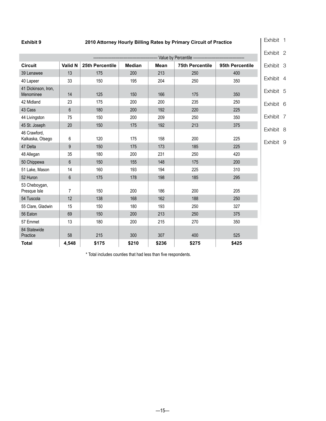### **Exhibit 9 2010 Attorney Hourly Billing Rates by Primary Circuit of Practice**

[Exhibit 1](#page-4-0) 

|                                  |                |                 |               |             |                        |                 | Exhibit 2              |
|----------------------------------|----------------|-----------------|---------------|-------------|------------------------|-----------------|------------------------|
|                                  |                |                 |               |             | Value by Percentile -  |                 |                        |
| <b>Circuit</b>                   | Valid N        | 25th Percentile | <b>Median</b> | <b>Mean</b> | <b>75th Percentile</b> | 95th Percentile | Exhibit 3              |
| 39 Lenawee                       | 13             | 175             | 200           | 213         | 250                    | 400             |                        |
| 40 Lapeer                        | 33             | 150             | 195           | 204         | 250                    | 350             | Exhibit 4              |
| 41 Dickinson, Iron,<br>Menominee | 14             | 125             | 150           | 166         | 175                    | 350             | Exhibit 5              |
| 42 Midland                       | 23             | 175             | 200           | 200         | 235                    | 250             | Exhibit 6              |
| 43 Cass                          | $6\phantom{1}$ | 180             | 200           | 192         | 220                    | 225             |                        |
| 44 Livingston                    | 75             | 150             | 200           | 209         | 250                    | 350             | Exhibit 7              |
| 45 St. Joseph                    | 20             | 150             | 175           | 192         | 213                    | 375             |                        |
| 46 Crawford,<br>Kalkaska, Otsego | 6              | 120             | 175           | 158         | 200                    | 225             | Exhibit 8<br>Exhibit 9 |
| 47 Delta                         | 9              | 150             | 175           | 173         | 185                    | 225             |                        |
| 48 Allegan                       | 35             | 180             | 200           | 231         | 250                    | 420             |                        |
| 50 Chippewa                      | $6\phantom{1}$ | 150             | 155           | 148         | 175                    | 200             |                        |
| 51 Lake, Mason                   | 14             | 160             | 193           | 194         | 225                    | 310             |                        |
| 52 Huron                         | $6\phantom{1}$ | 175             | 178           | 198         | 185                    | 295             |                        |
| 53 Cheboygan,<br>Presque Isle    | $\overline{7}$ | 150             | 200           | 186         | 200                    | 205             |                        |
| 54 Tuscola                       | 12             | 138             | 168           | 162         | 188                    | 250             |                        |
| 55 Clare, Gladwin                | 15             | 150             | 180           | 193         | 250                    | 327             |                        |
| 56 Eaton                         | 69             | 150             | 200           | 213         | 250                    | 375             |                        |
| 57 Emmet                         | 13             | 180             | 200           | 215         | 270                    | 350             |                        |
| 84 Statewide<br>Practice         | 58             | 215             | 300           | 307         | 400                    | 525             |                        |
| <b>Total</b>                     | 4,548          | \$175           | \$210         | \$236       | \$275                  | \$425           |                        |

\* Total includes counties that had less than five respondents.

 $-15-$